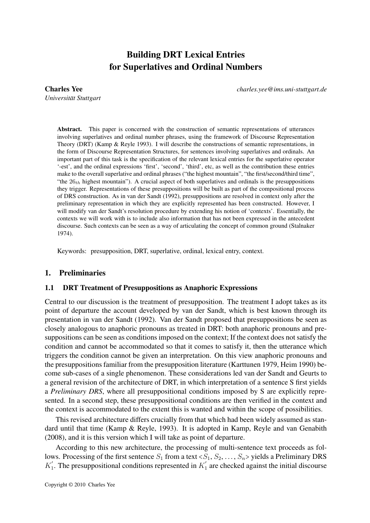# Building DRT Lexical Entries for Superlatives and Ordinal Numbers

*Universitat Stuttgart ¨*

Charles Yee *charles.yee@ims.uni-stuttgart.de*

Abstract. This paper is concerned with the construction of semantic representations of utterances involving superlatives and ordinal number phrases, using the framework of Discourse Representation Theory (DRT) (Kamp & Reyle 1993). I will describe the constructions of semantic representations, in the form of Discourse Representation Structures, for sentences involving superlatives and ordinals. An important part of this task is the specification of the relevant lexical entries for the superlative operator '-est', and the ordinal expressions 'first', 'second', 'third', etc, as well as the contribution these entries make to the overall superlative and ordinal phrases ("the highest mountain", "the first/second/third time", "the  $26<sub>th</sub>$  highest mountain"). A crucial aspect of both superlatives and ordinals is the presuppositions they trigger. Representations of these presuppositions will be built as part of the compositional process of DRS construction. As in van der Sandt (1992), presuppositions are resolved in context only after the preliminary representation in which they are explicitly represented has been constructed. However, I will modify van der Sandt's resolution procedure by extending his notion of 'contexts'. Essentially, the contexts we will work with is to include also information that has not been expressed in the antecedent discourse. Such contexts can be seen as a way of articulating the concept of common ground (Stalnaker 1974).

Keywords: presupposition, DRT, superlative, ordinal, lexical entry, context.

#### 1. Preliminaries

#### 1.1 DRT Treatment of Presuppositions as Anaphoric Expressions

Central to our discussion is the treatment of presupposition. The treatment I adopt takes as its point of departure the account developed by van der Sandt, which is best known through its presentation in van der Sandt (1992). Van der Sandt proposed that presuppositions be seen as closely analogous to anaphoric pronouns as treated in DRT: both anaphoric pronouns and presuppositions can be seen as conditions imposed on the context; If the context does not satisfy the condition and cannot be accommodated so that it comes to satisfy it, then the utterance which triggers the condition cannot be given an interpretation. On this view anaphoric pronouns and the presuppositions familiar from the presupposition literature (Karttunen 1979, Heim 1990) become sub-cases of a single phenomenon. These considerations led van der Sandt and Geurts to a general revision of the architecture of DRT, in which interpretation of a sentence S first yields a *Preliminary DRS*, where all presuppositional conditions imposed by S are explicitly represented. In a second step, these presuppositional conditions are then verified in the context and the context is accommodated to the extent this is wanted and within the scope of possibilities.

This revised architecture differs crucially from that which had been widely assumed as standard until that time (Kamp & Reyle, 1993). It is adopted in Kamp, Reyle and van Genabith (2008), and it is this version which I will take as point of departure.

According to this new architecture, the processing of multi-sentence text proceeds as follows. Processing of the first sentence  $S_1$  from a text  $\langle S_1, S_2, \ldots, S_n \rangle$  yields a Preliminary DRS  $K_1'$  $\frac{1}{1}$ . The presuppositional conditions represented in  $K_1'$  $\frac{1}{1}$  are checked against the initial discourse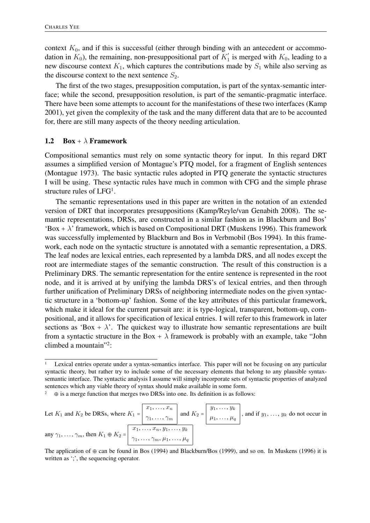context  $K_0$ , and if this is successful (either through binding with an antecedent or accommodation in  $K_0$ ), the remaining, non-presuppositional part of  $K_1'$  $I_1$  is merged with  $K_0$ , leading to a new discourse context  $K_1$ , which captures the contributions made by  $S_1$  while also serving as the discourse context to the next sentence  $S_2$ .

The first of the two stages, presupposition computation, is part of the syntax-semantic interface; while the second, presupposition resolution, is part of the semantic-pragmatic interface. There have been some attempts to account for the manifestations of these two interfaces (Kamp 2001), yet given the complexity of the task and the many different data that are to be accounted for, there are still many aspects of the theory needing articulation.

#### 1.2 Box +  $\lambda$  Framework

Compositional semantics must rely on some syntactic theory for input. In this regard DRT assumes a simplified version of Montague's PTQ model, for a fragment of English sentences (Montague 1973). The basic syntactic rules adopted in PTQ generate the syntactic structures I will be using. These syntactic rules have much in common with CFG and the simple phrase structure rules of LFG<sup>1</sup>.

The semantic representations used in this paper are written in the notation of an extended version of DRT that incorporates presuppositions (Kamp/Reyle/van Genabith 2008). The semantic representations, DRSs, are constructed in a similar fashion as in Blackburn and Bos' 'Box +  $\lambda$ ' framework, which is based on Compositional DRT (Muskens 1996). This framework was successfully implemented by Blackburn and Bos in Verbmobil (Bos 1994). In this framework, each node on the syntactic structure is annotated with a semantic representation, a DRS. The leaf nodes are lexical entries, each represented by a lambda DRS, and all nodes except the root are intermediate stages of the semantic construction. The result of this construction is a Preliminary DRS. The semantic representation for the entire sentence is represented in the root node, and it is arrived at by unifying the lambda DRS's of lexical entries, and then through further unification of Preliminary DRSs of neighboring intermediate nodes on the given syntactic structure in a 'bottom-up' fashion. Some of the key attributes of this particular framework, which make it ideal for the current pursuit are: it is type-logical, transparent, bottom-up, compositional, and it allows for specification of lexical entries. I will refer to this framework in later sections as 'Box +  $\lambda$ '. The quickest way to illustrate how semantic representations are built from a syntactic structure in the Box +  $\lambda$  framework is probably with an example, take "John climbed a mountain"<sup>2</sup> :

Let  $K_1$  and  $K_2$  be DRSs, where  $K_1$  =  $x_1, \ldots, x_n$  $\gamma_1, \ldots, \gamma_m$  and  $K_2$  =  $y_1, \ldots, y_k$  $\mu_1, \ldots, \mu_q$ , and if  $y_1, \ldots, y_k$  do not occur in any  $\gamma_1, \ldots, \gamma_m$ , then  $K_1 \oplus K_2$  =  $x_1, \ldots, x_n, y_1, \ldots, y_k$  $\gamma_1, \ldots, \gamma_m, \mu_1, \ldots, \mu_q$ 

<sup>1</sup> Lexical entries operate under a syntax-semantics interface. This paper will not be focusing on any particular syntactic theory, but rather try to include some of the necessary elements that belong to any plausible syntaxsemantic interface. The syntactic analysis I assume will simply incorporate sets of syntactic properties of analyzed sentences which any viable theory of syntax should make available in some form.

 $\theta$  is a merge function that merges two DRSs into one. Its definition is as follows:

The application of  $\oplus$  can be found in Bos (1994) and Blackburn/Bos (1999), and so on. In Muskens (1996) it is written as ';', the sequencing operator.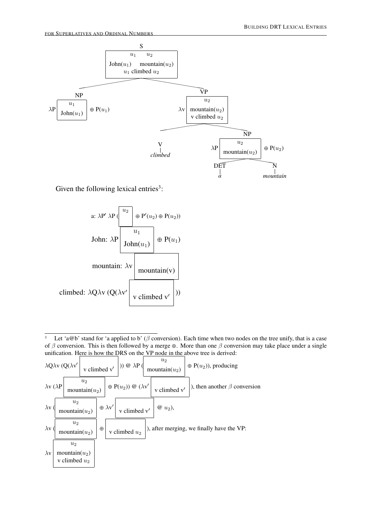

Given the following lexical entries<sup>3</sup>:



<sup>&</sup>lt;sup>3</sup> Let 'a@b' stand for 'a applied to b' ( $\beta$  conversion). Each time when two nodes on the tree unify, that is a case of  $\beta$  conversion. This is then followed by a merge ⊕. More than one  $\beta$  conversion may take place under a single unification. Here is how the DRS on the VP node in the above tree is derived:

|               |  |                                              |  |  |  | $\lambda Q\lambda v$ (Q( $\lambda v'$ v climbed v'  )) $\circledcirc \lambda P$ \equal nountain( $u_2$ ) \equal $P(u_2)$ ), producing                                                        |                                                                                                                                                                                                                  |  |
|---------------|--|----------------------------------------------|--|--|--|----------------------------------------------------------------------------------------------------------------------------------------------------------------------------------------------|------------------------------------------------------------------------------------------------------------------------------------------------------------------------------------------------------------------|--|
|               |  |                                              |  |  |  |                                                                                                                                                                                              | $\lambda \mathbf{v} (\lambda \mathbf{P})$ mountain( <i>u</i> <sub>2</sub> ) $\phi$ P( <i>u</i> <sub>2</sub> )) $\circledcirc$ ( $\lambda \mathbf{v}'$ v climbed $\mathbf{v}'$ ), then another $\beta$ conversion |  |
|               |  |                                              |  |  |  | $\lambda v \left( \begin{array}{c} u_2 \\ \text{mountain}(u_2) \end{array} \right) \oplus \lambda v' \left( \begin{array}{c} u_2 \\ v \text{ climbed } v' \end{array} \right) \omega (u_2),$ |                                                                                                                                                                                                                  |  |
| $\lambda$ v ( |  |                                              |  |  |  | $\begin{vmatrix} u_2 \\ u_2 \end{vmatrix}$ $\phi$ v climbed $u_2$ $\phi$ , after merging, we finally have the VP:                                                                            |                                                                                                                                                                                                                  |  |
| $\lambda$ v   |  | $u_2$<br>mountain $(u_2)$<br>v climbed $u_2$ |  |  |  |                                                                                                                                                                                              |                                                                                                                                                                                                                  |  |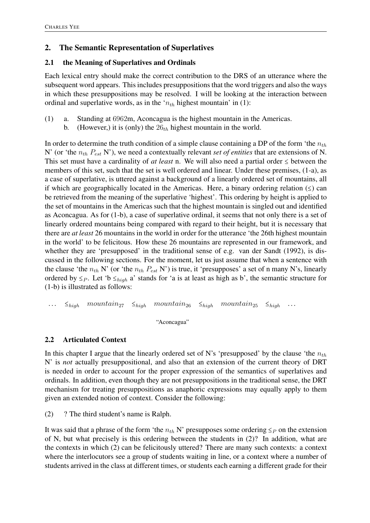# 2. The Semantic Representation of Superlatives

## 2.1 the Meaning of Superlatives and Ordinals

Each lexical entry should make the correct contribution to the DRS of an utterance where the subsequent word appears. This includes presuppositions that the word triggers and also the ways in which these presuppositions may be resolved. I will be looking at the interaction between ordinal and superlative words, as in the ' $n_{th}$  highest mountain' in (1):

- (1) a. Standing at 6962m, Aconcagua is the highest mountain in the Americas.
	- b. (However,) it is (only) the  $26<sub>th</sub>$  highest mountain in the world.

In order to determine the truth condition of a simple clause containing a DP of the form 'the  $n_{th}$ N' (or 'the  $n_{th}$   $P_{est}$  N'), we need a contextually relevant *set of entities* that are extensions of N. This set must have a cardinality of *at least* n. We will also need a partial order ≤ between the members of this set, such that the set is well ordered and linear. Under these premises, (1-a), as a case of superlative, is uttered against a background of a linearly ordered set of mountains, all if which are geographically located in the Americas. Here, a binary ordering relation  $(\leq)$  can be retrieved from the meaning of the superlative 'highest'. This ordering by height is applied to the set of mountains in the Americas such that the highest mountain is singled out and identified as Aconcagua. As for (1-b), a case of superlative ordinal, it seems that not only there is a set of linearly ordered mountains being compared with regard to their height, but it is necessary that there are *at least* 26 mountains in the world in order for the utterance 'the 26th highest mountain in the world' to be felicitous. How these 26 mountains are represented in our framework, and whether they are 'presupposed' in the traditional sense of e.g. van der Sandt (1992), is discussed in the following sections. For the moment, let us just assume that when a sentence with the clause 'the  $n_{th}$  N' (or 'the  $n_{th}$   $P_{est}$  N') is true, it 'presupposes' a set of n many N's, linearly ordered by  $\leq_P$ . Let 'b  $\leq_{high}$  a' stands for 'a is at least as high as b', the semantic structure for (1-b) is illustrated as follows:

```
\leq_{high} mountain<sub>27</sub> \leq_{high} mountain<sub>26</sub> \leq_{high} mountain<sub>25</sub> \leq_{high} ...
```
"Aconcagua"

# 2.2 Articulated Context

In this chapter I argue that the linearly ordered set of N's 'presupposed' by the clause 'the  $n_{th}$ N' is *not* actually presuppositional, and also that an extension of the current theory of DRT is needed in order to account for the proper expression of the semantics of superlatives and ordinals. In addition, even though they are not presuppositions in the traditional sense, the DRT mechanism for treating presuppositions as anaphoric expressions may equally apply to them given an extended notion of context. Consider the following:

(2) ? The third student's name is Ralph.

It was said that a phrase of the form 'the  $n_{th}$  N' presupposes some ordering  $\leq_P$  on the extension of N, but what precisely is this ordering between the students in (2)? In addition, what are the contexts in which (2) can be felicitously uttered? There are many such contexts: a context where the interlocutors see a group of students waiting in line, or a context where a number of students arrived in the class at different times, or students each earning a different grade for their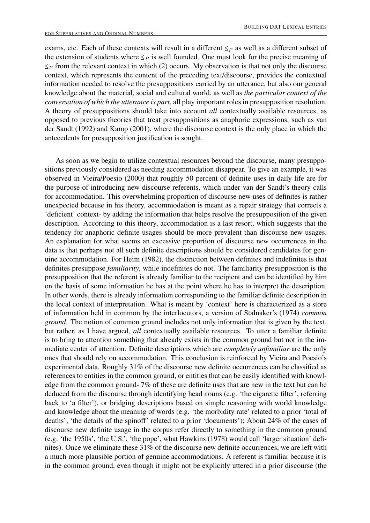exams, etc. Each of these contexts will result in a different  $\leq_P$  as well as a different subset of the extension of students where  $\leq_P$  is well founded. One must look for the precise meaning of  $\leq_P$  from the relevant context in which (2) occurs. My observation is that not only the discourse context, which represents the content of the preceding text/discourse, provides the contextual information needed to resolve the presuppositions carried by an utterance, but also our general knowledge about the material, social and cultural world, as well as *the particular context of the conversation of which the utterance is part*, all play important roles in presupposition resolution. A theory of presuppositions should take into account *all* contextually available resources, as opposed to previous theories that treat presuppositions as anaphoric expressions, such as van der Sandt (1992) and Kamp (2001), where the discourse context is the only place in which the antecedents for presupposition justification is sought.

As soon as we begin to utilize contextual resources beyond the discourse, many presuppositions previously considered as needing accommodation disappear. To give an example, it was observed in Vieira/Poesio (2000) that roughly 50 percent of definite uses in daily life are for the purpose of introducing new discourse referents, which under van der Sandt's theory calls for accommodation. This overwhelming proportion of discourse new uses of definites is rather unexpected because in his theory, accommodation is meant as a repair strategy that corrects a 'deficient' context- by adding the information that helps resolve the presupposition of the given description. According to this theory, accommodation is a last resort, which suggests that the tendency for anaphoric definite usages should be more prevalent than discourse new usages. An explanation for what seems an excessive proportion of discourse new occurrences in the data is that perhaps not all such definite descriptions should be considered candidates for genuine accommodation. For Heim (1982), the distinction between definites and indefinites is that definites presuppose *familiarity*, while indefinites do not. The familiarity presupposition is the presupposition that the referent is already familiar to the recipient and can be identified by him on the basis of some information he has at the point where he has to interpret the description. In other words, there is already information corresponding to the familiar definite description in the local context of interpretation. What is meant by 'context' here is characterized as a store of information held in common by the interlocutors, a version of Stalnaker's (1974) *common ground*. The notion of common ground includes not only information that is given by the text, but rather, as I have argued, *all* contextually available resources. To utter a familiar definite is to bring to attention something that already exists in the common ground but not in the immediate center of attention. Definite descriptions which are *completely unfamiliar* are the only ones that should rely on accommodation. This conclusion is reinforced by Vieira and Poesio's experimental data. Roughly 31% of the discourse new definite occurrences can be classified as references to entities in the common ground, or entities that can be easily identified with knowledge from the common ground- 7% of these are definite uses that are new in the text but can be deduced from the discourse through identifying head nouns (e.g. 'the cigarette filter', referring back to 'a filter'), or bridging descriptions based on simple reasoning with world knowledge and knowledge about the meaning of words (e.g. 'the morbidity rate' related to a prior 'total of deaths', 'the details of the spinoff' related to a prior 'documents'); About 24% of the cases of discourse new definite usage in the corpus refer directly to something in the common ground (e.g. 'the 1950s', 'the U.S.', 'the pope', what Hawkins (1978) would call 'larger situation' definites). Once we eliminate these 31% of the discourse new definite occurrences, we are left with a much more plausible portion of genuine accommodations. A referent is familiar because it is in the common ground, even though it might not be explicitly uttered in a prior discourse (the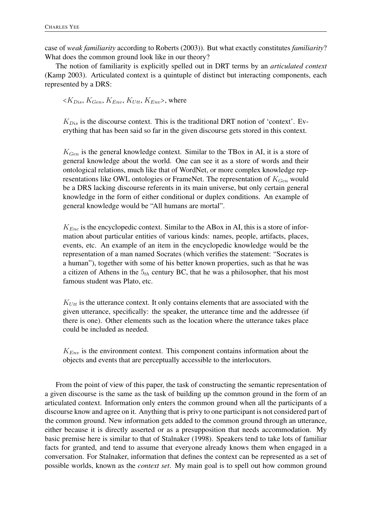case of *weak familiarity* according to Roberts (2003)). But what exactly constitutes *familiarity*? What does the common ground look like in our theory?

The notion of familiarity is explicitly spelled out in DRT terms by an *articulated context* (Kamp 2003). Articulated context is a quintuple of distinct but interacting components, each represented by a DRS:

 $\langle K_{Dis}, K_{Gen}, K_{Env}, K_{Ult}, K_{Env} \rangle$ , where

 $K_{Dis}$  is the discourse context. This is the traditional DRT notion of 'context'. Everything that has been said so far in the given discourse gets stored in this context.

 $K_{Gen}$  is the general knowledge context. Similar to the TBox in AI, it is a store of general knowledge about the world. One can see it as a store of words and their ontological relations, much like that of WordNet, or more complex knowledge representations like OWL ontologies or FrameNet. The representation of  $K_{Gen}$  would be a DRS lacking discourse referents in its main universe, but only certain general knowledge in the form of either conditional or duplex conditions. An example of general knowledge would be "All humans are mortal".

 $K_{Enc}$  is the encyclopedic context. Similar to the ABox in AI, this is a store of information about particular entities of various kinds: names, people, artifacts, places, events, etc. An example of an item in the encyclopedic knowledge would be the representation of a man named Socrates (which verifies the statement: "Socrates is a human"), together with some of his better known properties, such as that he was a citizen of Athens in the  $5<sub>th</sub>$  century BC, that he was a philosopher, that his most famous student was Plato, etc.

 $K_{Utt}$  is the utterance context. It only contains elements that are associated with the given utterance, specifically: the speaker, the utterance time and the addressee (if there is one). Other elements such as the location where the utterance takes place could be included as needed.

 $K_{Env}$  is the environment context. This component contains information about the objects and events that are perceptually accessible to the interlocutors.

From the point of view of this paper, the task of constructing the semantic representation of a given discourse is the same as the task of building up the common ground in the form of an articulated context. Information only enters the common ground when all the participants of a discourse know and agree on it. Anything that is privy to one participant is not considered part of the common ground. New information gets added to the common ground through an utterance, either because it is directly asserted or as a presupposition that needs accommodation. My basic premise here is similar to that of Stalnaker (1998). Speakers tend to take lots of familiar facts for granted, and tend to assume that everyone already knows them when engaged in a conversation. For Stalnaker, information that defines the context can be represented as a set of possible worlds, known as the *context set*. My main goal is to spell out how common ground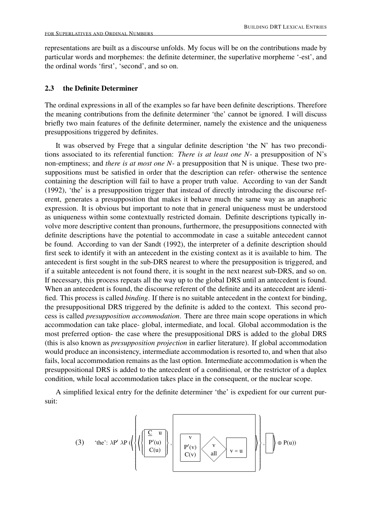representations are built as a discourse unfolds. My focus will be on the contributions made by particular words and morphemes: the definite determiner, the superlative morpheme '-est', and the ordinal words 'first', 'second', and so on.

#### 2.3 the Definite Determiner

The ordinal expressions in all of the examples so far have been definite descriptions. Therefore the meaning contributions from the definite determiner 'the' cannot be ignored. I will discuss briefly two main features of the definite determiner, namely the existence and the uniqueness presuppositions triggered by definites.

It was observed by Frege that a singular definite description 'the N' has two preconditions associated to its referential function: *There is at least one N*- a presupposition of N's non-emptiness; and *there is at most one N*- a presupposition that N is unique. These two presuppositions must be satisfied in order that the description can refer- otherwise the sentence containing the description will fail to have a proper truth value. According to van der Sandt (1992), 'the' is a presupposition trigger that instead of directly introducing the discourse referent, generates a presupposition that makes it behave much the same way as an anaphoric expression. It is obvious but important to note that in general uniqueness must be understood as uniqueness within some contextually restricted domain. Definite descriptions typically involve more descriptive content than pronouns, furthermore, the presuppositions connected with definite descriptions have the potential to accommodate in case a suitable antecedent cannot be found. According to van der Sandt (1992), the interpreter of a definite description should first seek to identify it with an antecedent in the existing context as it is available to him. The antecedent is first sought in the sub-DRS nearest to where the presupposition is triggered, and if a suitable antecedent is not found there, it is sought in the next nearest sub-DRS, and so on. If necessary, this process repeats all the way up to the global DRS until an antecedent is found. When an antecedent is found, the discourse referent of the definite and its antecedent are identified. This process is called *binding*. If there is no suitable antecedent in the context for binding, the presuppositional DRS triggered by the definite is added to the context. This second process is called *presupposition accommodation*. There are three main scope operations in which accommodation can take place- global, intermediate, and local. Global accommodation is the most preferred option- the case where the presuppositional DRS is added to the global DRS (this is also known as *presupposition projection* in earlier literature). If global accommodation would produce an inconsistency, intermediate accommodation is resorted to, and when that also fails, local accommodation remains as the last option. Intermediate accommodation is when the presuppositional DRS is added to the antecedent of a conditional, or the restrictor of a duplex condition, while local accommodation takes place in the consequent, or the nuclear scope.

A simplified lexical entry for the definite determiner 'the' is expedient for our current pursuit:

(3) 'the': 
$$
\lambda P' \lambda P \left( \left\{ \left\{ \left\{ \left[ \frac{\sum_{u} u}{P'(u)} \right]_{c(v)} \right\}, \left[ \left[ \frac{v}{P'(v)} \right]_{c(v)} \right]_{v=u} \right\} \right\}, \left[ \left[ \left[ \phi P(u) \right] \right] \right\} \oplus P(u) \right)
$$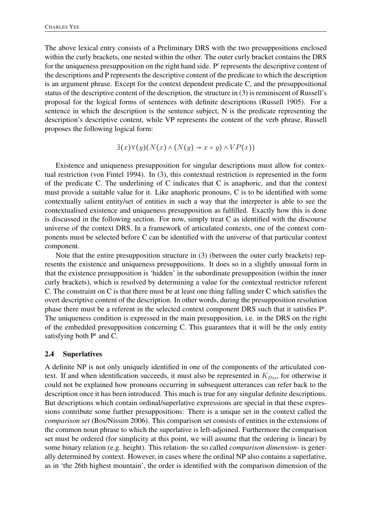The above lexical entry consists of a Preliminary DRS with the two presuppositions enclosed within the curly brackets, one nested within the other. The outer curly bracket contains the DRS for the uniqueness presupposition on the right hand side. P′ represents the descriptive content of the descriptions and P represents the descriptive content of the predicate to which the description is an argument phrase. Except for the context dependent predicate C, and the presuppositional status of the descriptive content of the description, the structure in (3) is reminiscent of Russell's proposal for the logical forms of sentences with definite descriptions (Russell 1905). For a sentence in which the description is the sentence subject, N is the predicate representing the description's descriptive content, while VP represents the content of the verb phrase, Russell proposes the following logical form:

$$
\exists (x)\forall (y)(N(x)\land (N(y)\rightarrow x=y)\land VP(x))
$$

Existence and uniqueness presupposition for singular descriptions must allow for contextual restriction (von Fintel 1994). In (3), this contextual restriction is represented in the form of the predicate C. The underlining of C indicates that C is anaphoric, and that the context must provide a suitable value for it. Like anaphoric pronouns, C is to be identified with some contextually salient entity/set of entities in such a way that the interpreter is able to see the contextualised existence and uniqueness presupposition as fulfilled. Exactly how this is done is discussed in the following section. For now, simply treat C as identified with the discourse universe of the context DRS. In a framework of articulated contexts, one of the context components must be selected before C can be identified with the universe of that particular context component.

Note that the entire presupposition structure in (3) (between the outer curly brackets) represents the existence and uniqueness presuppositions. It does so in a slightly unusual form in that the existence presupposition is 'hidden' in the subordinate presupposition (within the inner curly brackets), which is resolved by determining a value for the contextual restrictor referent C. The constraint on C is that there must be at least one thing falling under C which satisfies the overt descriptive content of the description. In other words, during the presupposition resolution phase there must be a referent in the selected context component DRS such that it satisfies P'. The uniqueness condition is expressed in the main presupposition, i.e. in the DRS on the right of the embedded presupposition concerning C. This guarantees that it will be the only entity satisfying both P′ and C.

### 2.4 Superlatives

A definite NP is not only uniquely identified in one of the components of the articulated context. If and when identification succeeds, it must also be represented in  $K_{Dis}$ , for otherwise it could not be explained how pronouns occurring in subsequent utterances can refer back to the description once it has been introduced. This much is true for any singular definite descriptions. But descriptions which contain ordinal/superlative expressions are special in that these expressions contribute some further presuppositions: There is a unique set in the context called the *comparison set* (Bos/Nissim 2006). This comparison set consists of entities in the extensions of the common noun phrase to which the superlative is left-adjoined. Furthermore the comparison set must be ordered (for simplicity at this point, we will assume that the ordering is linear) by some binary relation (e.g. height). This relation- the so called *comparison dimension*- is generally determined by context. However, in cases where the ordinal NP also contains a superlative, as in 'the 26th highest mountain', the order is identified with the comparison dimension of the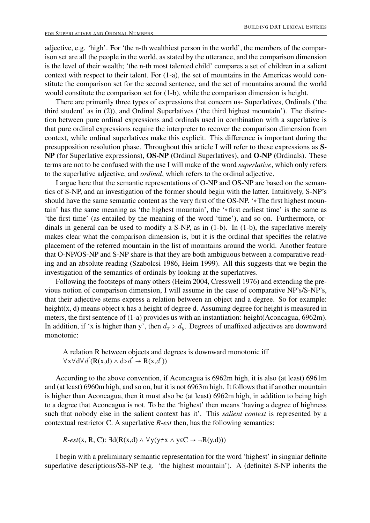adjective, e.g. 'high'. For 'the n-th wealthiest person in the world', the members of the comparison set are all the people in the world, as stated by the utterance, and the comparison dimension is the level of their wealth; 'the n-th most talented child' compares a set of children in a salient context with respect to their talent. For (1-a), the set of mountains in the Americas would constitute the comparison set for the second sentence, and the set of mountains around the world would constitute the comparison set for (1-b), while the comparison dimension is height.

There are primarily three types of expressions that concern us- Superlatives, Ordinals ('the third student' as in (2)), and Ordinal Superlatives ('the third highest mountain'). The distinction between pure ordinal expressions and ordinals used in combination with a superlative is that pure ordinal expressions require the interpreter to recover the comparison dimension from context, while ordinal superlatives make this explicit. This difference is important during the presupposition resolution phase. Throughout this article I will refer to these expressions as S-NP (for Superlative expressions), OS-NP (Ordinal Superlatives), and O-NP (Ordinals). These terms are not to be confused with the use I will make of the word *superlative*, which only refers to the superlative adjective, and *ordinal*, which refers to the ordinal adjective.

I argue here that the semantic representations of O-NP and OS-NP are based on the semantics of S-NP, and an investigation of the former should begin with the latter. Intuitively, S-NP's should have the same semantic content as the very first of the OS-NP. '∗The first highest mountain' has the same meaning as 'the highest mountain', the '∗first earliest time' is the same as 'the first time' (as entailed by the meaning of the word 'time'), and so on. Furthermore, ordinals in general can be used to modify a S-NP, as in (1-b). In (1-b), the superlative merely makes clear what the comparison dimension is, but it is the ordinal that specifies the relative placement of the referred mountain in the list of mountains around the world. Another feature that O-NP/OS-NP and S-NP share is that they are both ambiguous between a comparative reading and an absolute reading (Szabolcsi 1986, Heim 1999). All this suggests that we begin the investigation of the semantics of ordinals by looking at the superlatives.

Following the footsteps of many others (Heim 2004, Cresswell 1976) and extending the previous notion of comparison dimension, I will assume in the case of comparative NP's/S-NP's, that their adjective stems express a relation between an object and a degree. So for example: height(x, d) means object x has a height of degree d. Assuming degree for height is measured in meters, the first sentence of (1-a) provides us with an instantiation: height(Aconcagua, 6962m). In addition, if 'x is higher than y', then  $d_x > d_y$ . Degrees of unaffixed adjectives are downward monotonic:

A relation R between objects and degrees is downward monotonic iff  $\forall x \forall d \forall d' (R(x,d) \land d > d' \rightarrow R(x,d'))$ 

According to the above convention, if Aconcagua is 6962m high, it is also (at least) 6961m and (at least) 6960m high, and so on, but it is not 6963m high. It follows that if another mountain is higher than Aconcagua, then it must also be (at least) 6962m high, in addition to being high to a degree that Aconcagua is not. To be the 'highest' then means 'having a degree of highness such that nobody else in the salient context has it'. This *salient context* is represented by a contextual restrictor C. A superlative *R-est* then, has the following semantics:

*R-est*(x, R, C): ∃d(R(x,d)  $\land \forall y(y \neq x \land y \in C \rightarrow \neg R(y,d))$ )

I begin with a preliminary semantic representation for the word 'highest' in singular definite superlative descriptions/SS-NP (e.g. 'the highest mountain'). A (definite) S-NP inherits the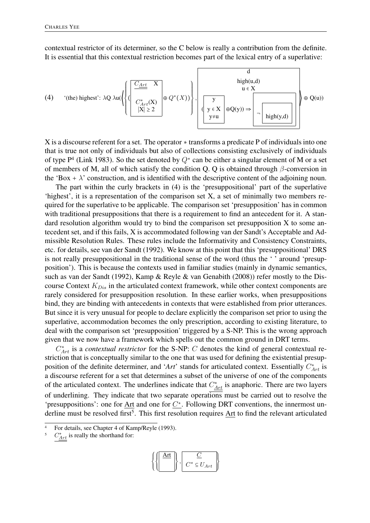contextual restrictor of its determiner, so the C below is really a contribution from the definite. It is essential that this contextual restriction becomes part of the lexical entry of a superlative:

(4) '(the) highest': 
$$
\lambda Q \lambda u(\left\{ \left\{ \left( \frac{\frac{C_{Art}}{C_{Art}^*(X)}}{\frac{C_{Art}^*(X)}{|X| \ge 2}} \right) \oplus Q^*(X) \right\}, \left[ \frac{y}{y \in X} \right] \oplus Q(y) \right\} \rightarrow \left[ \frac{d}{\frac{C_{Art}^*(X)}{\frac{C_{art}^*(X)}{|X| \ge 2}}} \right] \oplus Q(u)
$$

X is a discourse referent for a set. The operator ∗ transforms a predicate P of individuals into one that is true not only of individuals but also of collections consisting exclusively of individuals of type  $P<sup>4</sup>$  (Link 1983). So the set denoted by  $Q^*$  can be either a singular element of M or a set of members of M, all of which satisfy the condition Q. Q is obtained through  $\beta$ -conversion in the 'Box +  $\lambda$ ' construction, and is identified with the descriptive content of the adjoining noun.

The part within the curly brackets in (4) is the 'presuppositional' part of the superlative 'highest', it is a representation of the comparison set X, a set of minimally two members required for the superlative to be applicable. The comparison set 'presupposition' has in common with traditional presuppositions that there is a requirement to find an antecedent for it. A standard resolution algorithm would try to bind the comparison set presupposition X to some antecedent set, and if this fails, X is accommodated following van der Sandt's Acceptable and Admissible Resolution Rules. These rules include the Informativity and Consistency Constraints, etc. for details, see van der Sandt (1992). We know at this point that this 'presuppositional' DRS is not really presuppositional in the traditional sense of the word (thus the ' ' around 'presupposition'). This is because the contexts used in familiar studies (mainly in dynamic semantics, such as van der Sandt (1992), Kamp & Reyle & van Genabith (2008)) refer mostly to the Discourse Context  $K_{Dis}$  in the articulated context framework, while other context components are rarely considered for presupposition resolution. In these earlier works, when presuppositions bind, they are binding with antecedents in contexts that were established from prior utterances. But since it is very unusual for people to declare explicitly the comparison set prior to using the superlative, accommodation becomes the only prescription, according to existing literature, to deal with the comparison set 'presupposition' triggered by a S-NP. This is the wrong approach given that we now have a framework which spells out the common ground in DRT terms.

 $C^*_{Art}$  is a *contextual restrictor* for the S-NP:  $C$  denotes the kind of general contextual restriction that is conceptually similar to the one that was used for defining the existential presupposition of the definite determiner, and ' $Art'$  stands for articulated context. Essentially  $C^*_{Art}$  is a discourse referent for a set that determines a subset of the universe of one of the components of the articulated context. The underlines indicate that  $C^*_{Art}$  is anaphoric. There are two layers of underlining. They indicate that two separate operations must be carried out to resolve the 'presuppositions': one for Art and one for  $C^*$ . Following DRT conventions, the innermost underline must be resolved first<sup>5</sup>. This first resolution requires Art to find the relevant articulated

$$
\left\{ \left\{ \begin{array}{c} \underline{\mathrm{Art}} \\ \hline \end{array} \right\}, \begin{array}{c} \underline{C} \\ C^* \subseteq U_{Art} \end{array} \right\}
$$

For details, see Chapter 4 of Kamp/Reyle (1993).

 ${}^5$   $C_{Art}^*$  is really the shorthand for: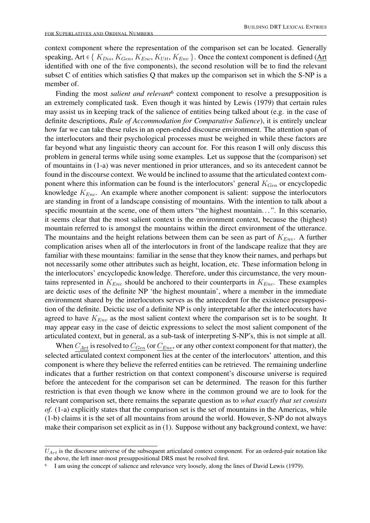context component where the representation of the comparison set can be located. Generally speaking, Art ∈ {  $K_{Dis}$ ,  $K_{Gen}$ ,  $K_{Enc}$ ,  $K_{Ult}$ ,  $K_{Env}$  }. Once the context component is defined (Art identified with one of the five components), the second resolution will be to find the relevant subset C of entities which satisfies Q that makes up the comparison set in which the S-NP is a member of.

Finding the most *salient and relevant*<sup>6</sup> context component to resolve a presupposition is an extremely complicated task. Even though it was hinted by Lewis (1979) that certain rules may assist us in keeping track of the salience of entities being talked about (e.g. in the case of definite descriptions, *Rule of Accommodation for Comparative Salience*), it is entirely unclear how far we can take these rules in an open-ended discourse environment. The attention span of the interlocutors and their psychological processes must be weighed in while these factors are far beyond what any linguistic theory can account for. For this reason I will only discuss this problem in general terms while using some examples. Let us suppose that the (comparison) set of mountains in (1-a) was never mentioned in prior utterances, and so its antecedent cannot be found in the discourse context. We would be inclined to assume that the articulated context component where this information can be found is the interlocutors' general  $K_{Gen}$  or encyclopedic knowledge  $K_{Enc}$ . An example where another component is salient: suppose the interlocutors are standing in front of a landscape consisting of mountains. With the intention to talk about a specific mountain at the scene, one of them utters "the highest mountain...". In this scenario, it seems clear that the most salient context is the environment context, because the (highest) mountain referred to is amongst the mountains within the direct environment of the utterance. The mountains and the height relations between them can be seen as part of  $K_{Env}$ . A further complication arises when all of the interlocutors in front of the landscape realize that they are familiar with these mountains: familiar in the sense that they know their names, and perhaps but not necessarily some other attributes such as height, location, etc. These information belong in the interlocutors' encyclopedic knowledge. Therefore, under this circumstance, the very mountains represented in  $K_{Env}$  should be anchored to their counterparts in  $K_{Enc}$ . These examples are deictic uses of the definite NP 'the highest mountain', where a member in the immediate environment shared by the interlocutors serves as the antecedent for the existence presupposition of the definite. Deictic use of a definite NP is only interpretable after the interlocutors have agreed to have  $K_{Env}$  as the most salient context where the comparison set is to be sought. It may appear easy in the case of deictic expressions to select the most salient component of the articulated context, but in general, as a sub-task of interpreting S-NP's, this is not simple at all.

When  $C_{Art}$  is resolved to  $C_{Gen}$  (or  $C_{Env}$ , or any other context component for that matter), the selected articulated context component lies at the center of the interlocutors' attention, and this component is where they believe the referred entities can be retrieved. The remaining underline indicates that a further restriction on that context component's discourse universe is required before the antecedent for the comparison set can be determined. The reason for this further restriction is that even though we know where in the common ground we are to look for the relevant comparison set, there remains the separate question as to *what exactly that set consists of*. (1-a) explicitly states that the comparison set is the set of mountains in the Americas, while (1-b) claims it is the set of all mountains from around the world. However, S-NP do not always make their comparison set explicit as in (1). Suppose without any background context, we have:

 $U_{Art}$  is the discourse universe of the subsequent articulated context component. For an ordered-pair notation like the above, the left inner-most presuppositional DRS must be resolved first.

<sup>6</sup> I am using the concept of salience and relevance very loosely, along the lines of David Lewis (1979).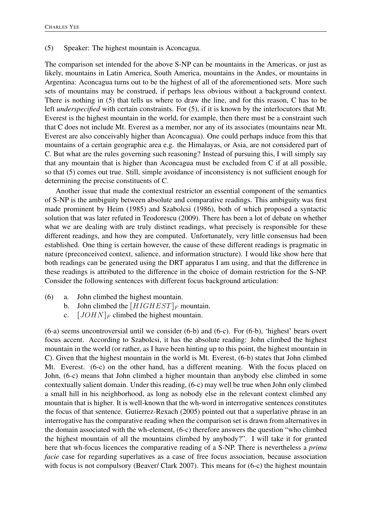#### (5) Speaker: The highest mountain is Aconcagua.

The comparison set intended for the above S-NP can be mountains in the Americas, or just as likely, mountains in Latin America, South America, mountains in the Andes, or mountains in Argentina: Aconcagua turns out to be the highest of all of the aforementioned sets. More such sets of mountains may be construed, if perhaps less obvious without a background context. There is nothing in (5) that tells us where to draw the line, and for this reason, C has to be left *underspecified* with certain constraints. For (5), if it is known by the interlocutors that Mt. Everest is the highest mountain in the world, for example, then there must be a constraint such that C does not include Mt. Everest as a member, nor any of its associates (mountains near Mt. Everest are also conceivably higher than Aconcagua). One could perhaps induce from this that mountains of a certain geographic area e.g. the Himalayas, or Asia, are not considered part of C. But what are the rules governing such reasoning? Instead of pursuing this, I will simply say that any mountain that is higher than Aconcagua must be excluded from C if at all possible, so that (5) comes out true. Still, simple avoidance of inconsistency is not sufficient enough for determining the precise constituents of C.

Another issue that made the contextual restrictor an essential component of the semantics of S-NP is the ambiguity between absolute and comparative readings. This ambiguity was first made prominent by Heim (1985) and Szabolcsi (1986), both of which proposed a syntactic solution that was later refuted in Teodorescu (2009). There has been a lot of debate on whether what we are dealing with are truly distinct readings, what precisely is responsible for these different readings, and how they are computed. Unfortunately, very little consensus had been established. One thing is certain however, the cause of these different readings is pragmatic in nature (preconceived context, salience, and information structure). I would like show here that both readings can be generated using the DRT apparatus I am using, and that the difference in these readings is attributed to the difference in the choice of domain restriction for the S-NP. Consider the following sentences with different focus background articulation:

- (6) a. John climbed the highest mountain.
	- b. John climbed the  $[HIGHEST]_F$  mountain.
	- c.  $[JOHN]_F$  climbed the highest mountain.

(6-a) seems uncontroversial until we consider (6-b) and (6-c). For (6-b), 'highest' bears overt focus accent. According to Szabolcsi, it has the absolute reading: John climbed the highest mountain in the world (or rather, as I have been hinting up to this point, the highest mountain in C). Given that the highest mountain in the world is Mt. Everest, (6-b) states that John climbed Mt. Everest. (6-c) on the other hand, has a different meaning. With the focus placed on John, (6-c) means that John climbed a higher mountain than anybody else climbed in some contextually salient domain. Under this reading, (6-c) may well be true when John only climbed a small hill in his neighborhood, as long as nobody else in the relevant context climbed any mountain that is higher. It is well-known that the wh-word in interrogative sentences constitutes the focus of that sentence. Gutierrez-Rexach (2005) pointed out that a superlative phrase in an interrogative has the comparative reading when the comparison set is drawn from alternatives in the domain associated with the wh-element, (6-c) therefore answers the question "who climbed the highest mountain of all the mountains climbed by anybody?". I will take it for granted here that wh-focus licences the comparative reading of a S-NP. There is nevertheless a *prima facie* case for regarding superlatives as a case of free focus association, because association with focus is not compulsory (Beaver/ Clark 2007). This means for (6-c) the highest mountain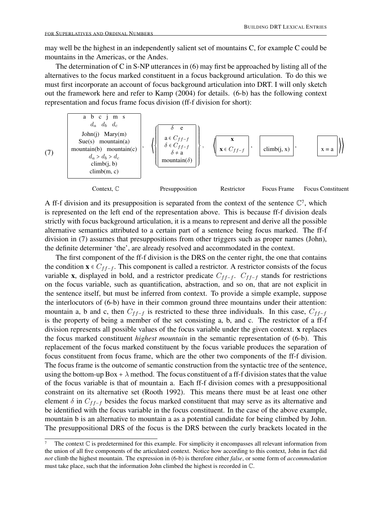may well be the highest in an independently salient set of mountains C, for example C could be mountains in the Americas, or the Andes.

The determination of C in S-NP utterances in (6) may first be approached by listing all of the alternatives to the focus marked constituent in a focus background articulation. To do this we must first incorporate an account of focus background articulation into DRT. I will only sketch out the framework here and refer to Kamp (2004) for details. (6-b) has the following context representation and focus frame focus division (ff-f division for short):



A ff-f division and its presupposition is separated from the context of the sentence  $\mathbb{C}^7$ , which is represented on the left end of the representation above. This is because ff-f division deals strictly with focus background articulation, it is a means to represent and derive all the possible alternative semantics attributed to a certain part of a sentence being focus marked. The ff-f division in (7) assumes that presuppositions from other triggers such as proper names (John), the definite determiner 'the', are already resolved and accommodated in the context.

The first component of the ff-f division is the DRS on the center right, the one that contains the condition  $\mathbf{x} \in C_{ff-f}$ . This component is called a restrictor. A restrictor consists of the focus variable x, displayed in bold, and a restrictor predicate  $C_{ff-f}$ .  $C_{ff-f}$  stands for restrictions on the focus variable, such as quantification, abstraction, and so on, that are not explicit in the sentence itself, but must be inferred from context. To provide a simple example, suppose the interlocutors of (6-b) have in their common ground three mountains under their attention: mountain a, b and c, then  $C_{ff-f}$  is restricted to these three individuals. In this case,  $C_{ff-f}$ is the property of being a member of the set consisting a, b, and c. The restrictor of a ff-f division represents all possible values of the focus variable under the given context. x replaces the focus marked constituent *highest mountain* in the semantic representation of (6-b). This replacement of the focus marked constituent by the focus variable produces the separation of focus constituent from focus frame, which are the other two components of the ff-f division. The focus frame is the outcome of semantic construction from the syntactic tree of the sentence, using the bottom-up Box +  $\lambda$  method. The focus constituent of a ff-f division states that the value of the focus variable is that of mountain a. Each ff-f division comes with a presuppositional constraint on its alternative set (Rooth 1992). This means there must be at least one other element  $\delta$  in  $C_{ff-f}$  besides the focus marked constituent that may serve as its alternative and be identified with the focus variable in the focus constituent. In the case of the above example, mountain b is an alternative to mountain a as a potential candidate for being climbed by John. The presuppositional DRS of the focus is the DRS between the curly brackets located in the

The context  $\mathbb C$  is predetermined for this example. For simplicity it encompasses all relevant information from the union of all five components of the articulated context. Notice how according to this context, John in fact did *not* climb the highest mountain. The expression in (6-b) is therefore either *false*, or some form of *accommodation* must take place, such that the information John climbed the highest is recorded in ℂ.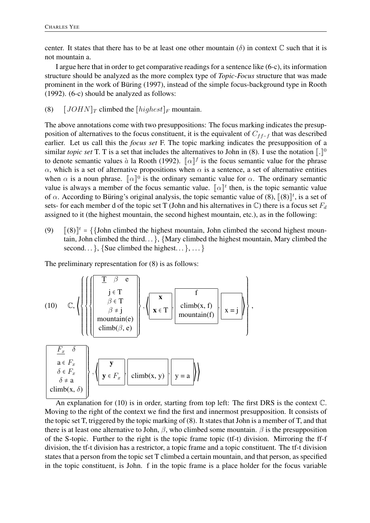center. It states that there has to be at least one other mountain ( $\delta$ ) in context  $\mathbb C$  such that it is not mountain a.

I argue here that in order to get comparative readings for a sentence like (6-c), its information structure should be analyzed as the more complex type of *Topic-Focus* structure that was made prominent in the work of Büring (1997), instead of the simple focus-background type in Rooth (1992). (6-c) should be analyzed as follows:

(8)  $[JOHN]_T$  climbed the  $[highest]_F$  mountain.

The above annotations come with two presuppositions: The focus marking indicates the presupposition of alternatives to the focus constituent, it is the equivalent of  $C_{ff-f}$  that was described earlier. Let us call this the *focus set* F. The topic marking indicates the presupposition of a similar *topic set* T. T is a set that includes the alternatives to John in (8). I use the notation  $\lbrack \cdot \rbrack^0$ to denote semantic values à la Rooth (1992).  $\lbrack \lbrack \alpha \rbrack \rbrack^f$  is the focus semantic value for the phrase  $\alpha$ , which is a set of alternative propositions when  $\alpha$  is a sentence, a set of alternative entities when  $\alpha$  is a noun phrase.  $\lbrack \alpha \rbrack^0$  is the ordinary semantic value for  $\alpha$ . The ordinary semantic value is always a member of the focus semantic value.  $\lbrack \lbrack \alpha \rbrack \rbrack^t$  then, is the topic semantic value of  $\alpha$ . According to Büring's original analysis, the topic semantic value of (8),  $\lbrack \! \lbrack(8)\rbrack \! \rbrack^t$ , is a set of sets- for each member d of the topic set T (John and his alternatives in  $\mathbb{C}$ ) there is a focus set  $F_d$ assigned to it (the highest mountain, the second highest mountain, etc.), as in the following:

(9)  $\left[ (8) \right]^t = \{ \{John \text{ climbed the highest mountain, John climbed the second highest mountain} \}$ tain, John climbed the third... }, {Mary climbed the highest mountain, Mary climbed the second... }, {Sue climbed the highest... }, ... }

,

The preliminary representation for (8) is as follows:

(10) C, 
$$
\left\{\left\{\left\{\left\{\left[\begin{array}{c} \mathbf{I} & \beta & \mathbf{e} \\ \mathbf{j} & \mathbf{f} \\ \beta & \mathbf{f} \\ \beta & \mathbf{f} \\ \beta & \mathbf{g} \end{array}\right]\right\}, \left\{\left[\begin{array}{c} \mathbf{x} \\ \mathbf{x} & \mathbf{f} \\ \mathbf{x} & \mathbf{f} \\ \mathbf{x} & \mathbf{f} \\ \mathbf{x} & \mathbf{f} \\ \mathbf{x} & \mathbf{f} \\ \mathbf{f} \\ \mathbf{f} \\ \mathbf{f} \\ \mathbf{x} & \mathbf{g} \end{array}\right]\right\}
$$
\n
$$
\left\{\left[\begin{array}{c} \mathbf{F}_x & \delta \\ \mathbf{F}_x & \delta \\ \mathbf{F}_x & \delta \\ \delta & \mathbf{g} & \mathbf{g} \\ \delta & \mathbf{g} & \mathbf{g} \\ \delta & \mathbf{g} & \mathbf{g} \\ \mathbf{g} & \mathbf{g} & \mathbf{g} \end{array}\right\}, \left\{\left[\begin{array}{c} \mathbf{y} \\ \mathbf{y} & \mathbf{g} \\ \mathbf{y} & \mathbf{g} \\ \mathbf{y} & \mathbf{g} \\ \mathbf{g} & \mathbf{g} \\ \mathbf{g} & \mathbf{g} \end{array}\right]\right\}, \left\{\left[\begin{array}{c} \mathbf{y} \\ \mathbf{y} & \mathbf{g} \\ \mathbf{y} & \mathbf{g} \\ \mathbf{y} & \mathbf{g} \\ \mathbf{g} & \mathbf{g} \end{array}\right]\right\}
$$

An explanation for (10) is in order, starting from top left: The first DRS is the context ℂ. Moving to the right of the context we find the first and innermost presupposition. It consists of the topic set T, triggered by the topic marking of (8). It states that John is a member of T, and that there is at least one alternative to John,  $\beta$ , who climbed some mountain.  $\beta$  is the presupposition of the S-topic. Further to the right is the topic frame topic (tf-t) division. Mirroring the ff-f division, the tf-t division has a restrictor, a topic frame and a topic constituent. The tf-t division states that a person from the topic set T climbed a certain mountain, and that person, as specified in the topic constituent, is John. f in the topic frame is a place holder for the focus variable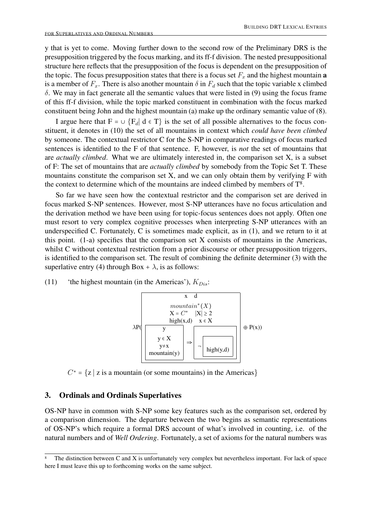y that is yet to come. Moving further down to the second row of the Preliminary DRS is the presupposition triggered by the focus marking, and its ff-f division. The nested presuppositional structure here reflects that the presupposition of the focus is dependent on the presupposition of the topic. The focus presupposition states that there is a focus set  $F_x$  and the highest mountain **a** is a member of  $F_x$ . There is also another mountain  $\delta$  in  $F_d$  such that the topic variable x climbed  $\delta$ . We may in fact generate all the semantic values that were listed in (9) using the focus frame of this ff-f division, while the topic marked constituent in combination with the focus marked constituent being John and the highest mountain (a) make up the ordinary semantic value of (8).

I argue here that  $F = \cup \{F_d | d \in T\}$  is the set of all possible alternatives to the focus constituent, it denotes in (10) the set of all mountains in context which *could have been climbed* by someone. The contextual restrictor C for the S-NP in comparative readings of focus marked sentences is identified to the F of that sentence. F, however, is *not* the set of mountains that are *actually climbed*. What we are ultimately interested in, the comparison set X, is a subset of F: The set of mountains that are *actually climbed* by somebody from the Topic Set T. These mountains constitute the comparison set X, and we can only obtain them by verifying F with the context to determine which of the mountains are indeed climbed by members of  $T<sup>8</sup>$ .

So far we have seen how the contextual restrictor and the comparison set are derived in focus marked S-NP sentences. However, most S-NP utterances have no focus articulation and the derivation method we have been using for topic-focus sentences does not apply. Often one must resort to very complex cognitive processes when interpreting S-NP utterances with an underspecified C. Fortunately, C is sometimes made explicit, as in (1), and we return to it at this point. (1-a) specifies that the comparison set X consists of mountains in the Americas, whilst C without contextual restriction from a prior discourse or other presupposition triggers, is identified to the comparison set. The result of combining the definite determiner (3) with the superlative entry (4) through Box +  $\lambda$ , is as follows:

(11) 'the highest mountain (in the Americas'),  $K_{Dis}$ :



 $C^* = \{z \mid z \text{ is a mountain (or some mountains)} \text{ in the Americans}\}\$ 

#### 3. Ordinals and Ordinals Superlatives

OS-NP have in common with S-NP some key features such as the comparison set, ordered by a comparison dimension. The departure between the two begins as semantic representations of OS-NP's which require a formal DRS account of what's involved in counting, i.e. of the natural numbers and of *Well Ordering*. Fortunately, a set of axioms for the natural numbers was

The distinction between C and X is unfortunately very complex but nevertheless important. For lack of space here I must leave this up to forthcoming works on the same subject.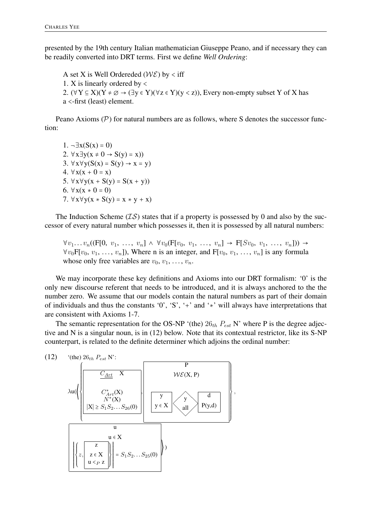presented by the 19th century Italian mathematician Giuseppe Peano, and if necessary they can be readily converted into DRT terms. First we define *Well Ordering*:

A set X is Well Ordereded ( $W\mathcal{E}$ ) by < iff 1. X is linearly ordered by < 2.  $(\forall Y \subseteq X)(Y \neq \emptyset \rightarrow (\exists y \in Y)(\forall z \in Y)(y < z))$ , Every non-empty subset Y of X has a <-first (least) element.

Peano Axioms  $(\mathcal{P})$  for natural numbers are as follows, where S denotes the successor function:

1.  $\neg \exists x (S(x) = 0)$ 2.  $\forall x \exists y (x \neq 0 \rightarrow S(y) = x)$ 3.  $\forall x \forall y (S(x) = S(y) \rightarrow x = y)$ 4.  $\forall x(x + 0 = x)$ 5.  $\forall x \forall y(x + S(y) = S(x + y))$ 6.  $∀x(x * 0 = 0)$ 7.  $\forall x \forall y (x * S(y) = x * y + x)$ 

The Induction Scheme  $(\mathcal{IS})$  states that if a property is possessed by 0 and also by the successor of every natural number which possesses it, then it is possessed by all natural numbers:

 $\forall v_1 \ldots v_n ((F[0, v_1, \ldots, v_n] \wedge \forall v_0 (F[v_0, v_1, \ldots, v_n] \rightarrow F[Sv_0, v_1, \ldots, v_n])) \rightarrow$  $\forall v_0 \mathbf{F}[v_0, v_1, \ldots, v_n]$ ), Where n is an integer, and  $\mathbf{F}[v_0, v_1, \ldots, v_n]$  is any formula whose only free variables are  $v_0, v_1, \ldots, v_n$ .

We may incorporate these key definitions and Axioms into our DRT formalism: '0' is the only new discourse referent that needs to be introduced, and it is always anchored to the the number zero. We assume that our models contain the natural numbers as part of their domain of individuals and thus the constants '0', 'S', '+' and '∗' will always have interpretations that are consistent with Axioms 1-7.

The semantic representation for the OS-NP '(the)  $26_{th} P_{est}$  N' where P is the degree adjective and N is a singular noun, is in (12) below. Note that its contextual restrictor, like its S-NP counterpart, is related to the definite determiner which adjoins the ordinal number:

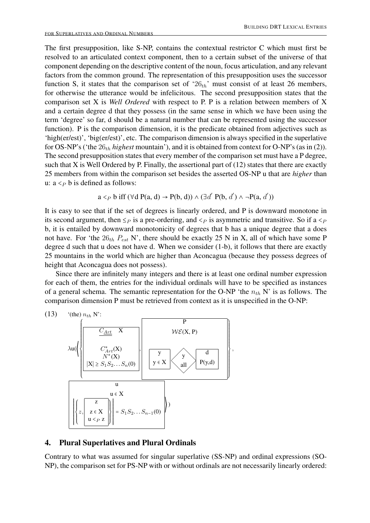The first presupposition, like S-NP, contains the contextual restrictor C which must first be resolved to an articulated context component, then to a certain subset of the universe of that component depending on the descriptive content of the noun, focus articulation, and any relevant factors from the common ground. The representation of this presupposition uses the successor function S, it states that the comparison set of ' $26<sub>th</sub>$ ' must consist of at least 26 members, for otherwise the utterance would be infelicitous. The second presupposition states that the comparison set X is *Well Ordered* with respect to P. P is a relation between members of X and a certain degree d that they possess (in the same sense in which we have been using the term 'degree' so far, d should be a natural number that can be represented using the successor function). P is the comparison dimension, it is the predicate obtained from adjectives such as 'high(er/est)', 'big(er/est)', etc. The comparison dimension is always specified in the superlative for OS-NP's ('the 26<sub>th</sub> highest mountain'), and it is obtained from context for O-NP's (as in (2)). The second presupposition states that every member of the comparison set must have a P degree, such that X is Well Ordered by P. Finally, the assertional part of (12) states that there are exactly 25 members from within the comparison set besides the asserted OS-NP u that are *higher* than u:  $a <_P b$  is defined as follows:

$$
a <_P b
$$
 iff  $(\forall d \ P(a, d) \rightarrow P(b, d)) \land (\exists d' \ P(b, d') \land \neg P(a, d'))$ 

It is easy to see that if the set of degrees is linearly ordered, and P is downward monotone in its second argument, then  $\leq_P$  is a pre-ordering, and  $\leq_P$  is asymmetric and transitive. So if a  $\leq_P$ b, it is entailed by downward monotonicity of degrees that b has a unique degree that a does not have. For 'the  $26_{th}$   $P_{est}$  N', there should be exactly 25 N in X, all of which have some P degree d such that u does not have d. When we consider (1-b), it follows that there are exactly 25 mountains in the world which are higher than Aconcagua (because they possess degrees of height that Aconcagua does not possess).

Since there are infinitely many integers and there is at least one ordinal number expression for each of them, the entries for the individual ordinals will have to be specified as instances of a general schema. The semantic representation for the O-NP 'the  $n_{th}$  N' is as follows. The comparison dimension P must be retrieved from context as it is unspecified in the O-NP:



#### 4. Plural Superlatives and Plural Ordinals

Contrary to what was assumed for singular superlative (SS-NP) and ordinal expressions (SO-NP), the comparison set for PS-NP with or without ordinals are not necessarily linearly ordered: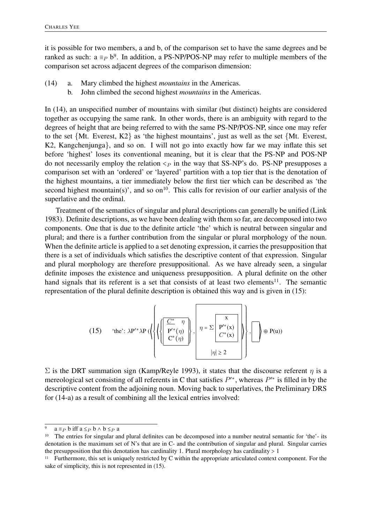it is possible for two members, a and b, of the comparison set to have the same degrees and be ranked as such:  $a \equiv_P b^9$ . In addition, a PS-NP/POS-NP may refer to multiple members of the comparison set across adjacent degrees of the comparison dimension:

- (14) a. Mary climbed the highest *mountains* in the Americas.
	- b. John climbed the second highest *mountains* in the Americas.

In (14), an unspecified number of mountains with similar (but distinct) heights are considered together as occupying the same rank. In other words, there is an ambiguity with regard to the degrees of height that are being referred to with the same PS-NP/POS-NP, since one may refer to the set {Mt. Everest, K2} as 'the highest mountains', just as well as the set {Mt. Everest, K2, Kangchenjunga}, and so on. I will not go into exactly how far we may inflate this set before 'highest' loses its conventional meaning, but it is clear that the PS-NP and POS-NP do not necessarily employ the relation  $\leq_P$  in the way that SS-NP's do. PS-NP presupposes a comparison set with an 'ordered' or 'layered' partition with a top tier that is the denotation of the highest mountains, a tier immediately below the first tier which can be described as 'the second highest mountain(s)', and so on<sup>10</sup>. This calls for revision of our earlier analysis of the superlative and the ordinal.

Treatment of the semantics of singular and plural descriptions can generally be unified (Link 1983). Definite descriptions, as we have been dealing with them so far, are decomposed into two components. One that is due to the definite article 'the' which is neutral between singular and plural; and there is a further contribution from the singular or plural morphology of the noun. When the definite article is applied to a set denoting expression, it carries the presupposition that there is a set of individuals which satisfies the descriptive content of that expression. Singular and plural morphology are therefore presuppositional. As we have already seen, a singular definite imposes the existence and uniqueness presupposition. A plural definite on the other hand signals that its referent is a set that consists of at least two elements<sup>11</sup>. The semantic representation of the plural definite description is obtained this way and is given in (15):

(15) 'the': 
$$
\lambda P'^{*} \lambda P \left( \left\{ \left\{ \left( \frac{\frac{C^*}{P'^*} \eta}{P'^* (\eta)} \right) \right\}, \left[ \eta = \Sigma \left[ \frac{x}{P'^* (x)} \right] \right\}, \left[ \eta \right] \oplus P(u) \right\}
$$
  
 $|\eta| \ge 2$ 

 $\Sigma$  is the DRT summation sign (Kamp/Reyle 1993), it states that the discourse referent *η* is a mereological set consisting of all referents in C that satisfies  $P^{\prime*}$ , whereas  $P^{\prime*}$  is filled in by the descriptive content from the adjoining noun. Moving back to superlatives, the Preliminary DRS for (14-a) as a result of combining all the lexical entries involved:

a ≡<sub>*P*</sub> b iff a ≤<sub>*P*</sub> b ∧ b ≤*P* a

<sup>&</sup>lt;sup>10</sup> The entries for singular and plural definites can be decomposed into a number neutral semantic for 'the'- its denotation is the maximum set of N's that are in C- and the contribution of singular and plural. Singular carries the presupposition that this denotation has cardinality 1. Plural morphology has cardinality  $> 1$ 

<sup>&</sup>lt;sup>11</sup> Furthermore, this set is uniquely restricted by C within the appropriate articulated context component. For the sake of simplicity, this is not represented in (15).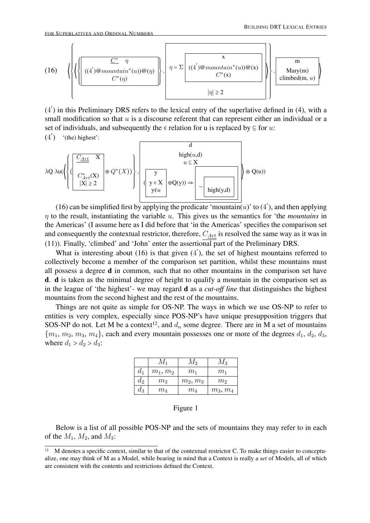

(4 ′ ) in this Preliminary DRS refers to the lexical entry of the superlative defined in (4), with a small modification so that  $u$  is a discourse referent that can represent either an individual or a set of individuals, and subsequently the  $\epsilon$  relation for u is replaced by  $\epsilon$  for  $u$ :

 $(4')$  '(the) highest':

$$
\lambda Q \lambda u \left( \left\{ \left( \frac{\frac{C_{Art}}{C_{Art}^*(X)}}{\frac{C_{Art}^*(X)}{|X| \ge 2}} \oplus Q^*(X) \right) \right\}, \left( \frac{y}{y \in X} \oplus Q(y) \right) \right\} \oplus \left( \frac{Q(y)}{y \in X} \right) \oplus \left( \frac{Q(y)}{\log(y)} \right) \right) \oplus \left( \frac{Q(y)}{\log(y)} \right) \right)
$$

(16) can be simplified first by applying the predicate 'mountain(u)' to (4'), and then applying  $\eta$  to the result, instantiating the variable  $u$ . This gives us the semantics for 'the *mountains* in the Americas' (I assume here as I did before that 'in the Americas' specifies the comparison set and consequently the contextual restrictor, therefore,  $C_{Art}$  is resolved the same way as it was in (11)). Finally, 'climbed' and 'John' enter the assertional part of the Preliminary DRS.

What is interesting about  $(16)$  is that given  $(4')$ , the set of highest mountains referred to collectively become a member of the comparison set partition, whilst these mountains must all possess a degree d in common, such that no other mountains in the comparison set have d. d is taken as the minimal degree of height to qualify a mountain in the comparison set as in the league of 'the highest'- we may regard d as a *cut-off line* that distinguishes the highest mountains from the second highest and the rest of the mountains.

Things are not quite as simple for OS-NP. The ways in which we use OS-NP to refer to entities is very complex, especially since POS-NP's have unique presupposition triggers that SOS-NP do not. Let M be a context<sup>12</sup>, and  $d_n$  some degree. There are in M a set of mountains  ${m_1, m_2, m_3, m_4}$ , each and every mountain possesses one or more of the degrees  $d_1, d_2, d_3$ , where  $d_1 > d_2 > d_3$ :

|       | $M_1$          | $M_2$      | $M_3$          |
|-------|----------------|------------|----------------|
| $d_1$ | $m_1, m_2$     | $m_1$      | $m_1$          |
| $d_2$ | m <sub>3</sub> | $m_2, m_3$ | m <sub>2</sub> |
| $d_3$ | $m_{4}$        | $m_{4}$    | $m_3, m_4$     |

#### Figure 1

Below is a list of all possible POS-NP and the sets of mountains they may refer to in each of the  $M_1$ ,  $M_2$ , and  $M_3$ :

<sup>&</sup>lt;sup>12</sup> M denotes a specific context, similar to that of the contextual restrictor C. To make things easier to conceptualize, one may think of M as a Model, while bearing in mind that a Context is really a *set* of Models, all of which are consistent with the contents and restrictions defined the Context.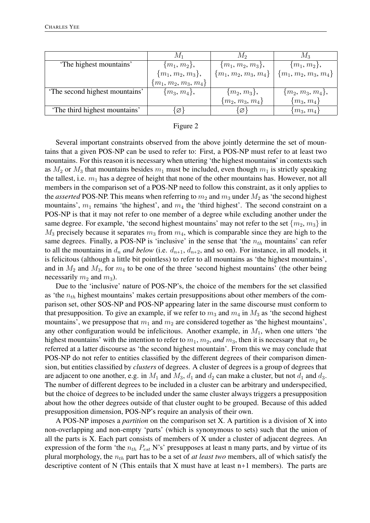|                               | М1                     | M2                     | $M_3$                  |
|-------------------------------|------------------------|------------------------|------------------------|
| 'The highest mountains'       | $\{m_1, m_2\},\$       | $\{m_1, m_2, m_3\},\$  | $\{m_1, m_2\},\$       |
|                               | $\{m_1, m_2, m_3\},\$  | ${m_1, m_2, m_3, m_4}$ | ${m_1, m_2, m_3, m_4}$ |
|                               | ${m_1, m_2, m_3, m_4}$ |                        |                        |
| The second highest mountains' | $\{m_3, m_4\},\$       | $\{m_2, m_3\},\$       | $\{m_2, m_3, m_4\},\$  |
|                               |                        | $\{m_2, m_3, m_4\}$    | $\{m_3,\,m_4\}$        |
| The third highest mountains'  | Ø                      | Ø}                     | $\{m_3, m_4\}$         |

#### Figure 2

Several important constraints observed from the above jointly determine the set of mountains that a given POS-NP can be used to refer to: First, a POS-NP must refer to at least two mountains. For this reason it is necessary when uttering 'the highest mountains' in contexts such as  $M_2$  or  $M_3$  that mountains besides  $m_1$  must be included, even though  $m_1$  is strictly speaking the tallest, i.e.  $m_1$  has a degree of height that none of the other mountains has. However, not all members in the comparison set of a POS-NP need to follow this constraint, as it only applies to the *asserted* POS-NP. This means when referring to  $m_2$  and  $m_3$  under  $M_2$  as 'the second highest mountains',  $m_1$  remains 'the highest', and  $m_4$  the 'third highest'. The second constraint on a POS-NP is that it may not refer to one member of a degree while excluding another under the same degree. For example, 'the second highest mountains' may not refer to the set  $\{m_2, m_3\}$  in  $M_3$  precisely because it separates  $m_3$  from  $m_4$ , which is comparable since they are high to the same degrees. Finally, a POS-NP is 'inclusive' in the sense that 'the  $n_{th}$  mountains' can refer to all the mountains in  $d_n$  *and below* (i.e.  $d_{n+1}$ ,  $d_{n+2}$ , and so on). For instance, in all models, it is felicitous (although a little bit pointless) to refer to all mountains as 'the highest mountains', and in  $M_2$  and  $M_3$ , for  $m_4$  to be one of the three 'second highest mountains' (the other being necessarily  $m_2$  and  $m_3$ ).

Due to the 'inclusive' nature of POS-NP's, the choice of the members for the set classified as 'the  $n_{th}$  highest mountains' makes certain presuppositions about other members of the comparison set, other SOS-NP and POS-NP appearing later in the same discourse must conform to that presupposition. To give an example, if we refer to  $m_3$  and  $m_4$  in  $M_3$  as 'the second highest mountains', we presuppose that  $m_1$  and  $m_2$  are considered together as 'the highest mountains', any other configuration would be infelicitous. Another example, in  $M_1$ , when one utters 'the highest mountains' with the intention to refer to  $m_1$ ,  $m_2$ , *and*  $m_3$ , then it is necessary that  $m_4$  be referred at a latter discourse as 'the second highest mountain'. From this we may conclude that POS-NP do not refer to entities classified by the different degrees of their comparison dimension, but entities classified by *clusters* of degrees. A cluster of degrees is a group of degrees that are adjacent to one another, e.g. in  $M_1$  and  $M_3$ ,  $d_1$  and  $d_2$  can make a cluster, but not  $d_1$  and  $d_3$ . The number of different degrees to be included in a cluster can be arbitrary and underspecified, but the choice of degrees to be included under the same cluster always triggers a presupposition about how the other degrees outside of that cluster ought to be grouped. Because of this added presupposition dimension, POS-NP's require an analysis of their own.

A POS-NP imposes a *partition* on the comparison set X. A partition is a division of X into non-overlapping and non-empty 'parts' (which is synonymous to sets) such that the union of all the parts is X. Each part consists of members of X under a cluster of adjacent degrees. An expression of the form 'the  $n_{th}$   $P_{est}$  N's' presupposes at least n many parts, and by virtue of its plural morphology, the  $n_{th}$  part has to be a set of *at least two* members, all of which satisfy the descriptive content of N (This entails that X must have at least  $n+1$  members). The parts are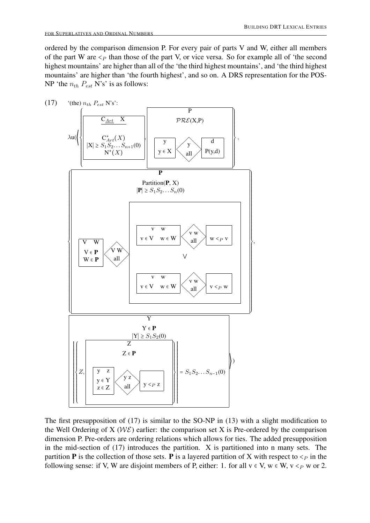ordered by the comparison dimension P. For every pair of parts V and W, either all members of the part W are  $\leq_P$  than those of the part V, or vice versa. So for example all of 'the second highest mountains' are higher than all of the 'the third highest mountains', and 'the third highest mountains' are higher than 'the fourth highest', and so on. A DRS representation for the POS-NP 'the  $n_{th}$   $P_{est}$  N's' is as follows:



The first presupposition of (17) is similar to the SO-NP in (13) with a slight modification to the Well Ordering of X ( $W\mathcal{E}$ ) earlier: the comparison set X is Pre-ordered by the comparison dimension P. Pre-orders are ordering relations which allows for ties. The added presupposition in the mid-section of (17) introduces the partition. X is partitioned into n many sets. The partition **P** is the collection of those sets. **P** is a layered partition of X with respect to  $\lt_p$  in the following sense: if V, W are disjoint members of P, either: 1. for all  $v \in V$ ,  $w \in W$ ,  $v \leq_{P} w$  or 2.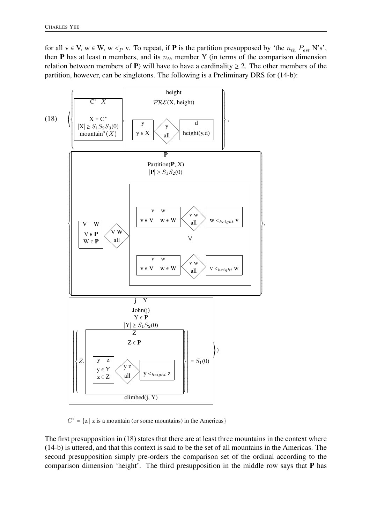for all  $v \in V$ ,  $w \in W$ ,  $w \leq_{P} v$ . To repeat, if **P** is the partition presupposed by 'the  $n_{th} P_{est} N$ 's', then **P** has at least n members, and its  $n_{th}$  member Y (in terms of the comparison dimension relation between members of P) will have to have a cardinality  $\geq 2$ . The other members of the partition, however, can be singletons. The following is a Preliminary DRS for (14-b):



 $C^* = \{z \mid z \text{ is a mountain (or some mountains) in the America}\}\$ 

The first presupposition in (18) states that there are at least three mountains in the context where (14-b) is uttered, and that this context is said to be the set of all mountains in the Americas. The second presupposition simply pre-orders the comparison set of the ordinal according to the comparison dimension 'height'. The third presupposition in the middle row says that P has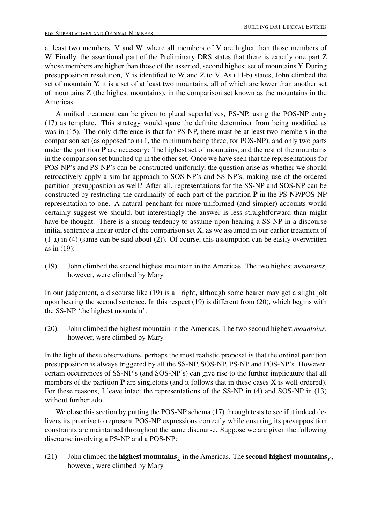at least two members, V and W, where all members of V are higher than those members of W. Finally, the assertional part of the Preliminary DRS states that there is exactly one part Z whose members are higher than those of the asserted, second highest set of mountains Y. During presupposition resolution, Y is identified to W and Z to V. As (14-b) states, John climbed the set of mountain Y, it is a set of at least two mountains, all of which are lower than another set of mountains Z (the highest mountains), in the comparison set known as the mountains in the Americas.

A unified treatment can be given to plural superlatives, PS-NP, using the POS-NP entry (17) as template. This strategy would spare the definite determiner from being modified as was in (15). The only difference is that for PS-NP, there must be at least two members in the comparison set (as opposed to n+1, the minimum being three, for POS-NP), and only two parts under the partition  $P$  are necessary: The highest set of mountains, and the rest of the mountains in the comparison set bunched up in the other set. Once we have seen that the representations for POS-NP's and PS-NP's can be constructed uniformly, the question arise as whether we should retroactively apply a similar approach to SOS-NP's and SS-NP's, making use of the ordered partition presupposition as well? After all, representations for the SS-NP and SOS-NP can be constructed by restricting the cardinality of each part of the partition P in the PS-NP/POS-NP representation to one. A natural penchant for more uniformed (and simpler) accounts would certainly suggest we should, but interestingly the answer is less straightforward than might have be thought. There is a strong tendency to assume upon hearing a SS-NP in a discourse initial sentence a linear order of the comparison set X, as we assumed in our earlier treatment of (1-a) in (4) (same can be said about (2)). Of course, this assumption can be easily overwritten as in (19):

(19) John climbed the second highest mountain in the Americas. The two highest *mountains*, however, were climbed by Mary.

In our judgement, a discourse like (19) is all right, although some hearer may get a slight jolt upon hearing the second sentence. In this respect (19) is different from (20), which begins with the SS-NP 'the highest mountain':

(20) John climbed the highest mountain in the Americas. The two second highest *mountains*, however, were climbed by Mary.

In the light of these observations, perhaps the most realistic proposal is that the ordinal partition presupposition is always triggered by all the SS-NP, SOS-NP, PS-NP and POS-NP's. However, certain occurrences of SS-NP's (and SOS-NP's) can give rise to the further implicature that all members of the partition  $P$  are singletons (and it follows that in these cases  $X$  is well ordered). For these reasons, I leave intact the representations of the SS-NP in (4) and SOS-NP in (13) without further ado.

We close this section by putting the POS-NP schema (17) through tests to see if it indeed delivers its promise to represent POS-NP expressions correctly while ensuring its presupposition constraints are maintained throughout the same discourse. Suppose we are given the following discourse involving a PS-NP and a POS-NP:

(21) John climbed the **highest mountains**  $\chi$  in the Americas. The **second highest mountains**  $\chi$ , however, were climbed by Mary.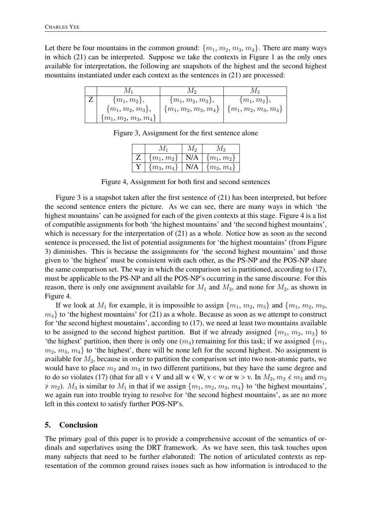Let there be four mountains in the common ground:  $\{m_1, m_2, m_3, m_4\}$ . There are many ways in which (21) can be interpreted. Suppose we take the contexts in Figure 1 as the only ones available for interpretation, the following are snapshots of the highest and the second highest mountains instantiated under each context as the sentences in (21) are processed:

|                        | IVI 9                  | 1V1 3                  |
|------------------------|------------------------|------------------------|
| $\{m_1, m_2\},\$       | $\{m_1, m_2, m_3\},\$  | $\{m_1, m_2\},\$       |
| $\{m_1, m_2, m_3\},\$  | ${m_1, m_2, m_3, m_4}$ | ${m_1, m_2, m_3, m_4}$ |
| ${m_1, m_2, m_3, m_4}$ |                        |                        |

Figure 3, Assignment for the first sentence alone

| ${m_1, m_2}$   N/A   ${m_1, m_2}$ |                      |
|-----------------------------------|----------------------|
| $\{m_3, m_4\}$                    | N/A   $\{m_3, m_4\}$ |

Figure 4, Assignment for both first and second sentences

Figure 3 is a snapshot taken after the first sentence of (21) has been interpreted, but before the second sentence enters the picture. As we can see, there are many ways in which 'the highest mountains' can be assigned for each of the given contexts at this stage. Figure 4 is a list of compatible assignments for both 'the highest mountains' and 'the second highest mountains', which is necessary for the interpretation of (21) as a whole. Notice how as soon as the second sentence is processed, the list of potential assignments for 'the highest mountains' (from Figure 3) diminishes. This is because the assignments for 'the second highest mountains' and those given to 'the highest' must be consistent with each other, as the PS-NP and the POS-NP share the same comparison set. The way in which the comparison set is partitioned, according to (17), must be applicable to the PS-NP and all the POS-NP's occurring in the same discourse. For this reason, there is only one assignment available for  $M_1$  and  $M_3$ , and none for  $M_2$ , as shown in Figure 4.

If we look at  $M_1$  for example, it is impossible to assign  $\{m_1, m_2, m_3\}$  and  $\{m_1, m_2, m_3, m_4\}$  $m_4$  to 'the highest mountains' for (21) as a whole. Because as soon as we attempt to construct for 'the second highest mountains', according to (17), we need at least two mountains available to be assigned to the second highest partition. But if we already assigned  $\{m_1, m_2, m_3\}$  to 'the highest' partition, then there is only one  $(m_4)$  remaining for this task; if we assigned  $\{m_1,$  $m_2, m_3, m_4$  to 'the highest', there will be none left for the second highest. No assignment is available for  $M_2$ , because in order to partition the comparison set into two non-atomic parts, we would have to place  $m_2$  and  $m_3$  in two different partitions, but they have the same degree and to do so violates (17) (that for all  $v \in V$  and all  $w \in W$ ,  $v \prec w$  or  $w > v$ . In  $M_2, m_2 \not\prec m_3$  and  $m_3$  $\neq$   $m_2$ ).  $M_3$  is similar to  $M_1$  in that if we assign  $\{m_1, m_2, m_3, m_4\}$  to 'the highest mountains', we again run into trouble trying to resolve for 'the second highest mountains', as are no more left in this context to satisfy further POS-NP's.

### 5. Conclusion

The primary goal of this paper is to provide a comprehensive account of the semantics of ordinals and superlatives using the DRT framework. As we have seen, this task touches upon many subjects that need to be further elaborated: The notion of articulated contexts as representation of the common ground raises issues such as how information is introduced to the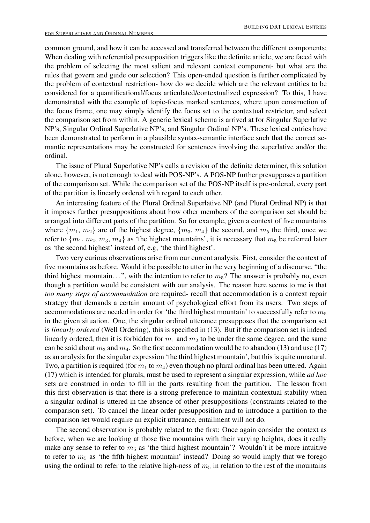common ground, and how it can be accessed and transferred between the different components; When dealing with referential presupposition triggers like the definite article, we are faced with the problem of selecting the most salient and relevant context component- but what are the rules that govern and guide our selection? This open-ended question is further complicated by the problem of contextual restriction- how do we decide which are the relevant entities to be considered for a quantificational/focus articulated/contextualized expression? To this, I have demonstrated with the example of topic-focus marked sentences, where upon construction of the focus frame, one may simply identify the focus set to the contextual restrictor, and select the comparison set from within. A generic lexical schema is arrived at for Singular Superlative NP's, Singular Ordinal Superlative NP's, and Singular Ordinal NP's. These lexical entries have been demonstrated to perform in a plausible syntax-semantic interface such that the correct semantic representations may be constructed for sentences involving the superlative and/or the ordinal.

The issue of Plural Superlative NP's calls a revision of the definite determiner, this solution alone, however, is not enough to deal with POS-NP's. A POS-NP further presupposes a partition of the comparison set. While the comparison set of the POS-NP itself is pre-ordered, every part of the partition is linearly ordered with regard to each other.

An interesting feature of the Plural Ordinal Superlative NP (and Plural Ordinal NP) is that it imposes further presuppositions about how other members of the comparison set should be arranged into different parts of the partition. So for example, given a context of five mountains where  $\{m_1, m_2\}$  are of the highest degree,  $\{m_3, m_4\}$  the second, and  $m_5$  the third, once we refer to  ${m_1, m_2, m_3, m_4}$  as 'the highest mountains', it is necessary that  $m_5$  be referred later as 'the second highest' instead of, e.g, 'the third highest'.

Two very curious observations arise from our current analysis. First, consider the context of five mountains as before. Would it be possible to utter in the very beginning of a discourse, "the third highest mountain...", with the intention to refer to  $m<sub>5</sub>$ ? The answer is probably no, even though a partition would be consistent with our analysis. The reason here seems to me is that *too many steps of accommodation* are required- recall that accommodation is a context repair strategy that demands a certain amount of psychological effort from its users. Two steps of accommodations are needed in order for 'the third highest mountain' to successfully refer to  $m_5$ in the given situation. One, the singular ordinal utterance presupposes that the comparison set is *linearly ordered* (Well Ordering), this is specified in (13). But if the comparison set is indeed linearly ordered, then it is forbidden for  $m_1$  and  $m_2$  to be under the same degree, and the same can be said about  $m_3$  and  $m_4$ . So the first accommodation would be to abandon (13) and use (17) as an analysis for the singular expression 'the third highest mountain', but this is quite unnatural. Two, a partition is required (for  $m_1$  to  $m_4$ ) even though no plural ordinal has been uttered. Again (17) which is intended for plurals, must be used to represent a singular expression, while *ad hoc* sets are construed in order to fill in the parts resulting from the partition. The lesson from this first observation is that there is a strong preference to maintain contextual stability when a singular ordinal is uttered in the absence of other presuppositions (constraints related to the comparison set). To cancel the linear order presupposition and to introduce a partition to the comparison set would require an explicit utterance, entailment will not do.

The second observation is probably related to the first: Once again consider the context as before, when we are looking at those five mountains with their varying heights, does it really make any sense to refer to  $m_5$  as 'the third highest mountain'? Wouldn't it be more intuitive to refer to  $m_5$  as 'the fifth highest mountain' instead? Doing so would imply that we forego using the ordinal to refer to the relative high-ness of  $m_5$  in relation to the rest of the mountains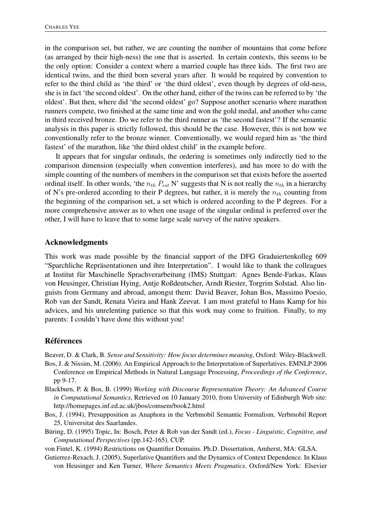in the comparison set, but rather, we are counting the number of mountains that come before (as arranged by their high-ness) the one that is asserted. In certain contexts, this seems to be the only option: Consider a context where a married couple has three kids. The first two are identical twins, and the third born several years after. It would be required by convention to refer to the third child as 'the third' or 'the third oldest', even though by degrees of old-ness, she is in fact 'the second oldest'. On the other hand, either of the twins can be referred to by 'the oldest'. But then, where did 'the second oldest' go? Suppose another scenario where marathon runners compete, two finished at the same time and won the gold medal, and another who came in third received bronze. Do we refer to the third runner as 'the second fastest'? If the semantic analysis in this paper is strictly followed, this should be the case. However, this is not how we conventionally refer to the bronze winner. Conventionally, we would regard him as 'the third fastest' of the marathon, like 'the third oldest child' in the example before.

It appears that for singular ordinals, the ordering is sometimes only indirectly tied to the comparison dimension (especially when convention interferes), and has more to do with the simple counting of the numbers of members in the comparison set that exists before the asserted ordinal itself. In other words, 'the  $n_{th} P_{est}$  N' suggests that N is not really the  $n_{th}$  in a hierarchy of N's pre-ordered according to their P degrees, but rather, it is merely the  $n_{th}$  counting from the beginning of the comparison set, a set which is ordered according to the P degrees. For a more comprehensive answer as to when one usage of the singular ordinal is preferred over the other, I will have to leave that to some large scale survey of the native speakers.

#### Acknowledgments

This work was made possible by the financial support of the DFG Graduiertenkolleg 609 "Sparchliche Repräsentationen und ihre Interpretation". I would like to thank the colleagues at Institut für Maschinelle Sprachverarbeitung (IMS) Stuttgart: Agnes Bende-Farkas, Klaus von Heusinger, Christian Hying, Antje Roßdeutscher, Arndt Riester, Torgrim Solstad. Also linguists from Germany and abroad, amongst them: David Beaver, Johan Bos, Massimo Poesio, Rob van der Sandt, Renata Vieira and Hank Zeevat. I am most grateful to Hans Kamp for his advices, and his unrelenting patience so that this work may come to fruition. Finally, to my parents: I couldn't have done this without you!

#### **Références**

Beaver, D. & Clark, B. *Sense and Sensitivity: How focus determines meaning*, Oxford: Wiley-Blackwell.

- Bos, J. & Nissim, M. (2006). An Empirical Approach to the Interpretation of Superlatives. EMNLP 2006 Conference on Empirical Methods in Natural Language Processing, *Proceedings of the Conference*, pp 9-17.
- Blackburn, P. & Bos, B. (1999) *Working with Discourse Representation Theory: An Advanced Course in Computational Semantics*, Retrieved on 10 January 2010, from University of Edinburgh Web site: http://homepages.inf.ed.ac.uk/jbos/comsem/book2.html
- Bos, J. (1994), Presupposition as Anaphora in the Verbmobil Semantic Formalism, Verbmobil Report 25, Universitat des Saarlandes.
- Büring, D. (1995) Topic, In: Bosch, Peter & Rob van der Sandt (ed.), *Focus Linguistic, Cognitive, and Computational Perspectives* (pp.142-165). CUP.

von Fintel, K. (1994) Restrictions on Quantifier Domains. Ph.D. Dissertation, Amherst, MA: GLSA.

Gutierrez-Rexach, J. (2005), Superlative Quantifiers and the Dynamics of Context Dependence. In Klaus von Heusinger and Ken Turner, *Where Semantics Meets Pragmatics*. Oxford/New York: Elsevier